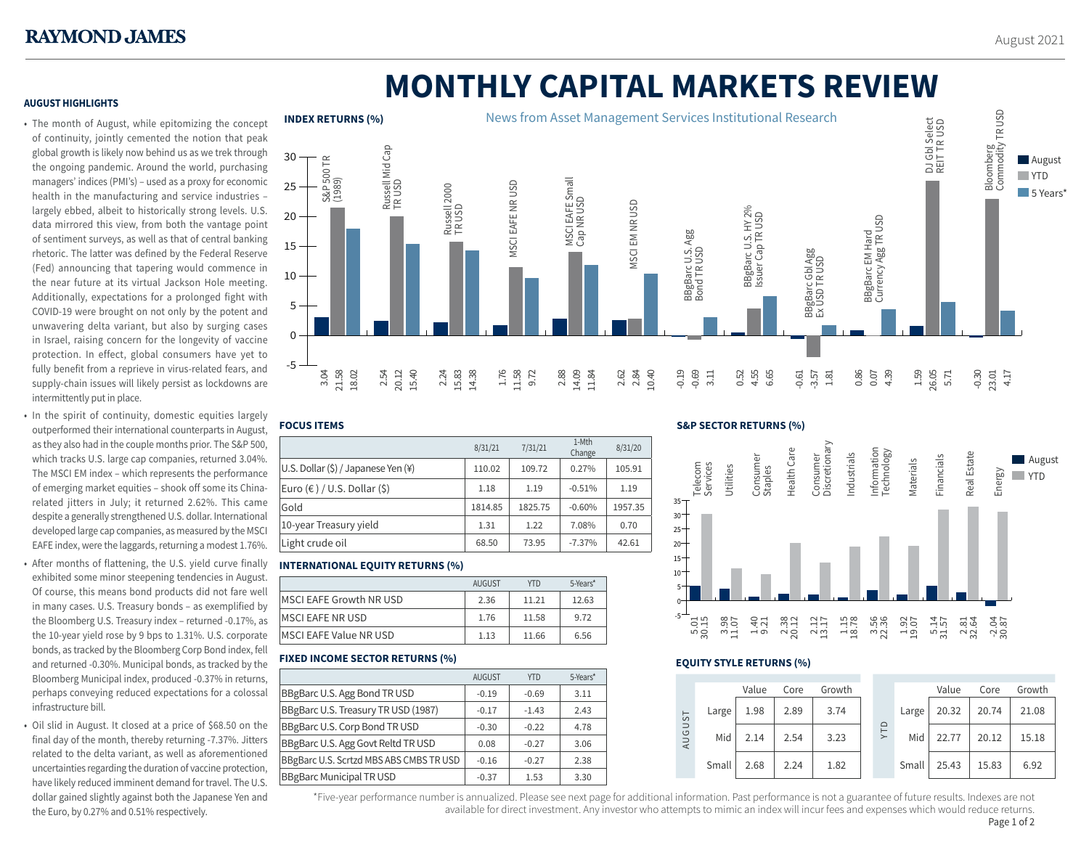# **MONTHLY CAPITAL MARKETS REVIEW**

# **AUGUST HIGHLIGHTS**

- The month of August, while epitomizing the concept of continuity, jointly cemented the notion that peak global growth is likely now behind us as we trek through the ongoing pandemic. Around the world, purchasing managers' indices (PMI's) – used as a proxy for economic health in the manufacturing and service industries – largely ebbed, albeit to historically strong levels. U.S. data mirrored this view, from both the vantage point of sentiment surveys, as well as that of central banking rhetoric. The latter was defined by the Federal Reserve (Fed) announcing that tapering would commence in the near future at its virtual Jackson Hole meeting. Additionally, expectations for a prolonged fight with COVID-19 were brought on not only by the potent and unwavering delta variant, but also by surging cases in Israel, raising concern for the longevity of vaccine protection. In effect, global consumers have yet to fully benefit from a reprieve in virus-related fears, and supply-chain issues will likely persist as lockdowns are intermittently put in place.
- In the spirit of continuity, domestic equities largely outperformed their international counterparts in August, as they also had in the couple months prior. The S&P 500, which tracks U.S. large cap companies, returned 3.04%. The MSCI EM index – which represents the performance of emerging market equities – shook off some its Chinarelated jitters in July; it returned 2.62%. This came despite a generally strengthened U.S. dollar. International developed large cap companies, as measured by the MSCI EAFE index, were the laggards, returning a modest 1.76%.
- After months of flattening, the U.S. yield curve finally exhibited some minor steepening tendencies in August. Of course, this means bond products did not fare well in many cases. U.S. Treasury bonds – as exemplified by the Bloomberg U.S. Treasury index – returned -0.17%, as the 10-year yield rose by 9 bps to 1.31%. U.S. corporate bonds, as tracked by the Bloomberg Corp Bond index, fell and returned -0.30%. Municipal bonds, as tracked by the Bloomberg Municipal index, produced -0.37% in returns, perhaps conveying reduced expectations for a colossal infrastructure bill.
- Oil slid in August. It closed at a price of \$68.50 on the final day of the month, thereby returning -7.37%. Jitters related to the delta variant, as well as aforementioned uncertainties regarding the duration of vaccine protection, have likely reduced imminent demand for travel. The U.S. dollar gained slightly against both the Japanese Yen and the Euro, by 0.27% and 0.51% respectively.



## **FOCUS ITEMS**

|                                         | 8/31/21 | 7/31/21 | 1-Mth<br>Change | 8/31/20 |
|-----------------------------------------|---------|---------|-----------------|---------|
| U.S. Dollar (\$) / Japanese Yen (¥)     | 110.02  | 109.72  | 0.27%           | 105.91  |
| Euro $(\epsilon)$ / U.S. Dollar $(\xi)$ | 1.18    | 1.19    | $-0.51%$        | 1.19    |
| Gold                                    | 1814.85 | 1825.75 | $-0.60%$        | 1957.35 |
| 10-year Treasury yield                  | 1.31    | 1.22    | 7.08%           | 0.70    |
| Light crude oil                         | 68.50   | 73.95   | $-7.37%$        | 42.61   |

# **INTERNATIONAL EQUITY RETURNS (%)**

|                               | <b>AUGUST</b> | <b>YTD</b> | 5-Years* |
|-------------------------------|---------------|------------|----------|
| MSCI EAFE Growth NR USD       | 2.36          | 11.21      | 12.63    |
| <b>MSCI EAFE NR USD</b>       | 1.76          | 11.58      | 9.72     |
| <b>MSCI EAFE Value NR USD</b> | 1.13          | 11.66      | 6.56     |
|                               |               |            |          |

# **FIXED INCOME SECTOR RETURNS (%)**

|                                           | <b>AUGUST</b> | <b>YTD</b> | 5-Years* |
|-------------------------------------------|---------------|------------|----------|
| <b>BBgBarc U.S. Agg Bond TR USD</b>       | $-0.19$       | $-0.69$    | 3.11     |
| BBgBarc U.S. Treasury TR USD (1987)       | $-0.17$       | $-1.43$    | 2.43     |
| BBgBarc U.S. Corp Bond TR USD             | $-0.30$       | $-0.22$    | 4.78     |
| <b>BBgBarc U.S. Agg Govt Reltd TR USD</b> | 0.08          | $-0.27$    | 3.06     |
| BBgBarc U.S. Scrtzd MBS ABS CMBS TR USD   | $-0.16$       | $-0.27$    | 2.38     |
| <b>BBgBarc Municipal TR USD</b>           | $-0.37$       | 1.53       | 3.30     |

## **S&P SECTOR RETURNS (%)**



# **EQUITY STYLE RETURNS (%)**

|                                   |       | Value | Core | Growth |  |            |       | Value | Core  | Growth |       |
|-----------------------------------|-------|-------|------|--------|--|------------|-------|-------|-------|--------|-------|
| ⊢<br>S<br>$\Xi$<br>$\overline{a}$ | Large | 1.98  | 2.89 | 3.74   |  | <b>ULA</b> |       | Large | 20.32 | 20.74  | 21.08 |
|                                   | Mid   | 2.14  | 2.54 | 3.23   |  |            | Mid   | 22.77 | 20.12 | 15.18  |       |
|                                   | Small | 2.68  | 2.24 | 1.82   |  |            | Small | 25.43 | 15.83 | 6.92   |       |

\*Five-year performance number is annualized. Please see next page for additional information. Past performance is not a guarantee of future results. Indexes are not 1 available for direct investment. Any investor who attempts to mimic an index will incur fees and expenses which would reduce returns.